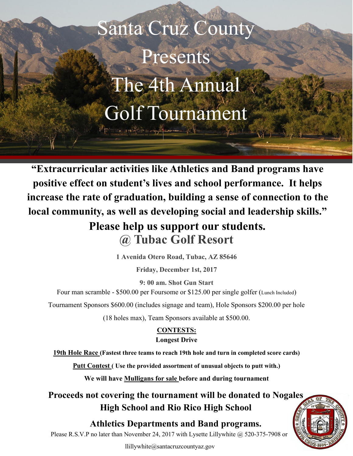Santa Cruz County Presents The 4th Annual Golf Tournament

 $\cdots$ 

**"Extracurricular activities like Athletics and Band programs have positive effect on student's lives and school performance. It helps increase the rate of graduation, building a sense of connection to the local community, as well as developing social and leadership skills." Please help us support our students.**

**@ Tubac Golf Resort** 

**1 Avenida Otero Road, Tubac, AZ 85646** 

**Friday, December 1st, 2017** 

Four man scramble - \$500.00 per Foursome or \$125.00 per single golfer (Lunch Included) **9: 00 am. Shot Gun Start**

Tournament Sponsors \$600.00 (includes signage and team), Hole Sponsors \$200.00 per hole

(18 holes max), Team Sponsors available at \$500.00.

#### **CONTESTS: Longest Drive**

**19th Hole Race (Fastest three teams to reach 19th hole and turn in completed score cards)**

**Putt Contest ( Use the provided assortment of unusual objects to putt with.)** 

**We will have Mulligans for sale before and during tournament**

**Proceeds not covering the tournament will be donated to Nogales High School and Rio Rico High School** 

**Athletics Departments and Band programs.** 

Please R.S.V.P no later than November 24, 2017 with Lysette Lillywhite @ 520-375-7908 or

llillywhite@santacruzcountyaz.gov